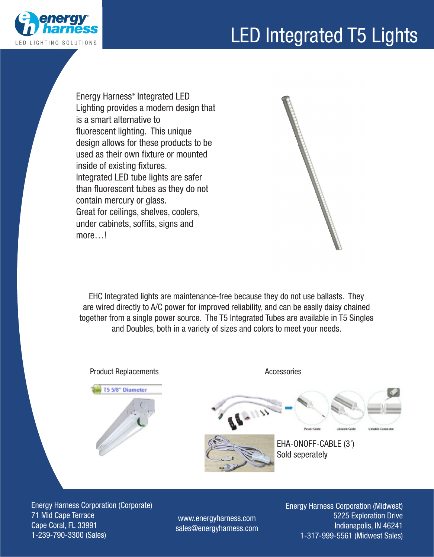

## LED Integrated T5 Lights

Energy Harness® Integrated LED Lighting provides a modern design that is a smart alternative to fluorescent lighting. This unique design allows for these products to be used as their own fixture or mounted inside of existing fixtures. Integrated LED tube lights are safer than fluorescent tubes as they do not contain mercury or glass. Great for ceilings, shelves, coolers, under cabinets, soffits, signs and more…!



EHC Integrated lights are maintenance-free because they do not use ballasts. They are wired directly to A/C power for improved reliability, and can be easily daisy chained together from a single power source. The T5 Integrated Tubes are available in T5 Singles and Doubles, both in a variety of sizes and colors to meet your needs.



Energy Harness Corporation (Corporate) 71 Mid Cape Terrace Cape Coral, FL 33991 1-239-790-3300 (Sales)

www.energyharness.com sales@energyharness.com Energy Harness Corporation (Midwest) 5225 Exploration Drive Indianapolis, IN 46241 1-317-999-5561 (Midwest Sales)